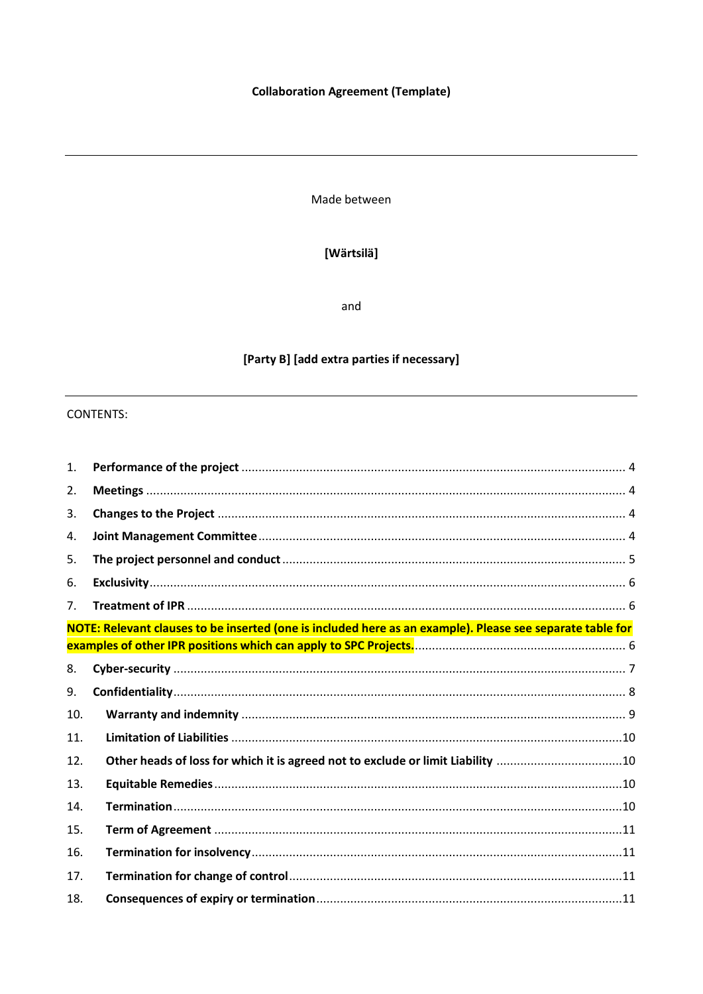## **Collaboration Agreement (Template)**

Made between

## [Wärtsilä]

and

# [Party B] [add extra parties if necessary]

## **CONTENTS:**

| 1.  |                                                                                                           |  |
|-----|-----------------------------------------------------------------------------------------------------------|--|
| 2.  |                                                                                                           |  |
| 3.  |                                                                                                           |  |
| 4.  |                                                                                                           |  |
| 5.  |                                                                                                           |  |
| 6.  |                                                                                                           |  |
| 7.  |                                                                                                           |  |
|     | NOTE: Relevant clauses to be inserted (one is included here as an example). Please see separate table for |  |
|     |                                                                                                           |  |
| 8.  |                                                                                                           |  |
| 9.  |                                                                                                           |  |
| 10. |                                                                                                           |  |
| 11. |                                                                                                           |  |
| 12. | Other heads of loss for which it is agreed not to exclude or limit Liability 10                           |  |
| 13. |                                                                                                           |  |
| 14. |                                                                                                           |  |
| 15. |                                                                                                           |  |
| 16. |                                                                                                           |  |
| 17. |                                                                                                           |  |
| 18. |                                                                                                           |  |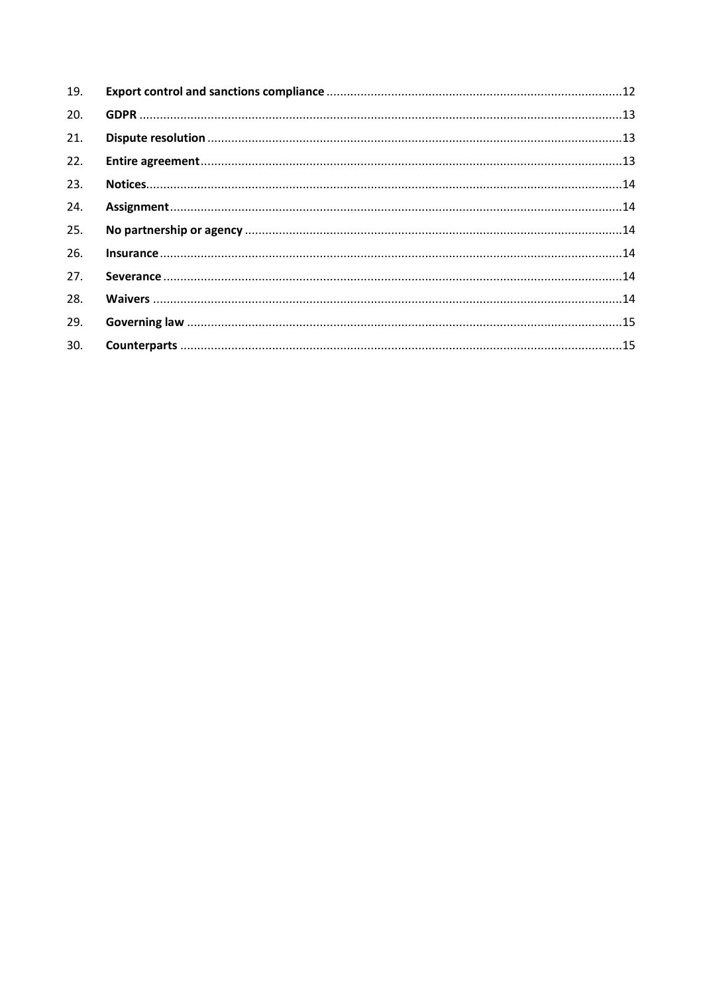| 19. |  |
|-----|--|
| 20. |  |
| 21. |  |
| 22. |  |
| 23. |  |
| 24. |  |
| 25. |  |
| 26. |  |
| 27. |  |
| 28. |  |
| 29. |  |
| 30. |  |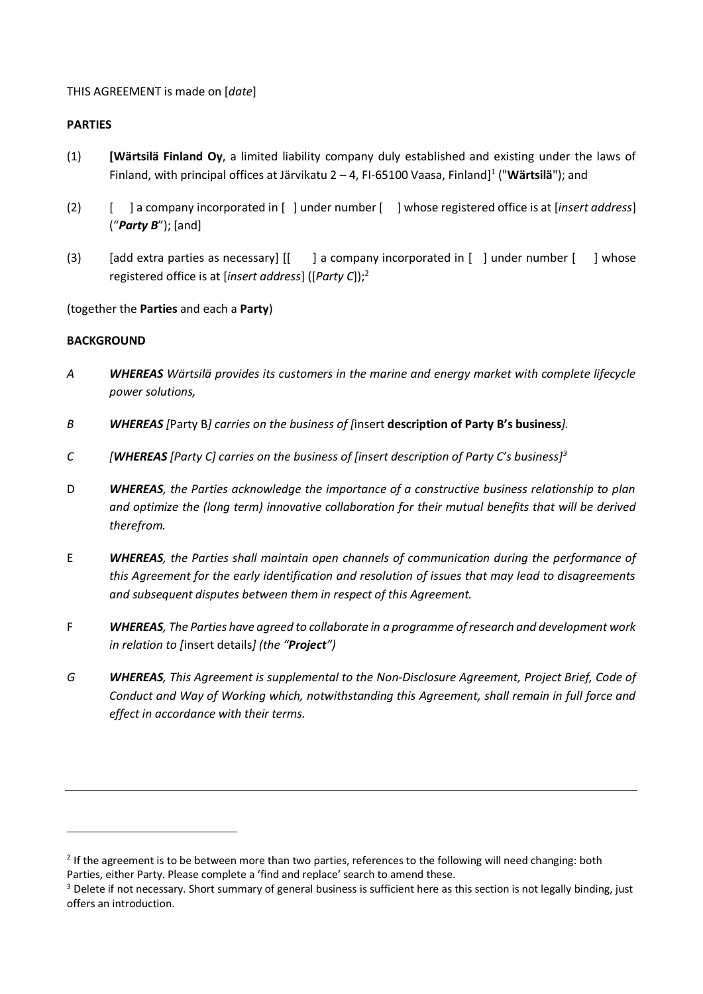### THIS AGREEMENT is made on [*date*]

#### **PARTIES**

- (1) **[Wärtsilä Finland Oy**, a limited liability company duly established and existing under the laws of Finland, with principal offices at Järvikatu 2 – 4, FI-65100 Vaasa, Finland] 1 ("**Wärtsilä**"); and
- (2) [] a company incorporated in [] under number [] whose registered office is at [*insert address*] ("*Party B*"); [and]
- (3) [add extra parties as necessary] [[] a company incorporated in [] under number [] whose registered office is at [*insert address*] ([*Party C*]);<sup>2</sup>

### (together the **Parties** and each a **Party**)

### **BACKGROUND**

- *A WHEREAS Wärtsilä provides its customers in the marine and energy market with complete lifecycle power solutions,*
- *B WHEREAS [*Party B*] carries on the business of [*insert **description of Party B's business***].*
- *C [WHEREAS [Party C] carries on the business of [insert description of Party C's business]<sup>3</sup>*
- D *WHEREAS, the Parties acknowledge the importance of a constructive business relationship to plan and optimize the (long term) innovative collaboration for their mutual benefits that will be derived therefrom.*
- E *WHEREAS, the Parties shall maintain open channels of communication during the performance of this Agreement for the early identification and resolution of issues that may lead to disagreements and subsequent disputes between them in respect of this Agreement.*
- F *WHEREAS, The Parties have agreed to collaborate in a programme of research and development work in relation to [*insert details*] (the "Project")*
- *G WHEREAS, This Agreement is supplemental to the Non-Disclosure Agreement, Project Brief, Code of Conduct and Way of Working which, notwithstanding this Agreement, shall remain in full force and effect in accordance with their terms.*

 $2$  If the agreement is to be between more than two parties, references to the following will need changing: both Parties, either Party. Please complete a 'find and replace' search to amend these.

<sup>&</sup>lt;sup>3</sup> Delete if not necessary. Short summary of general business is sufficient here as this section is not legally binding, just offers an introduction.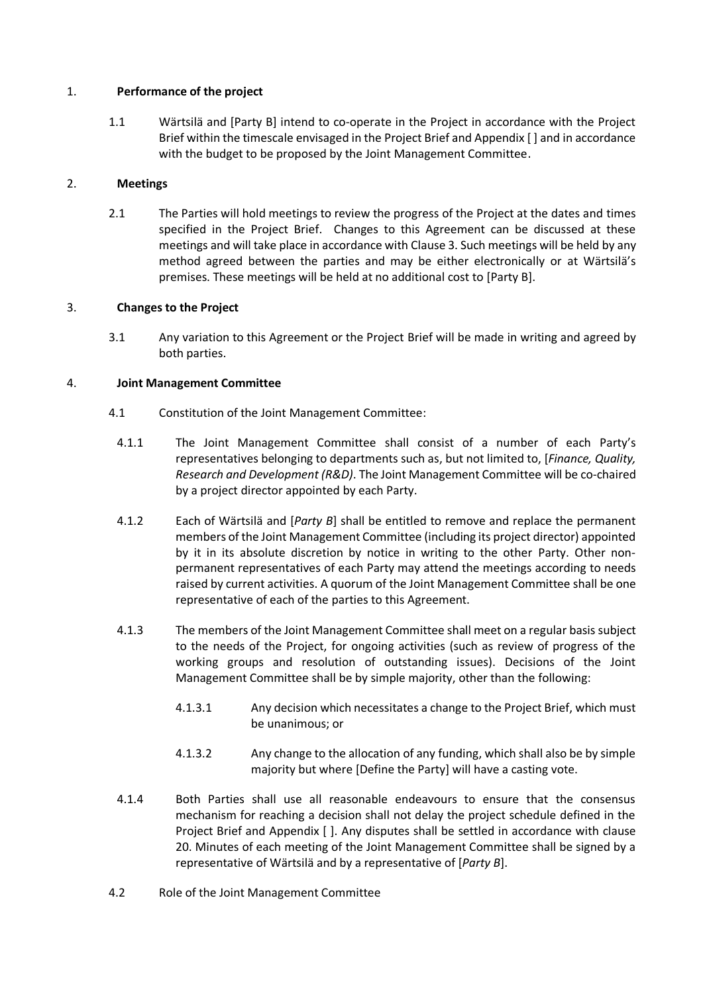#### <span id="page-3-0"></span>1. **Performance of the project**

1.1 Wärtsilä and [Party B] intend to co-operate in the Project in accordance with the Project Brief within the timescale envisaged in the Project Brief and Appendix [ ] and in accordance with the budget to be proposed by the Joint Management Committee.

### <span id="page-3-1"></span>2. **Meetings**

2.1 The Parties will hold meetings to review the progress of the Project at the dates and times specified in the Project Brief. Changes to this Agreement can be discussed at these meetings and will take place in accordance with Claus[e 3.](#page-3-2) Such meetings will be held by any method agreed between the parties and may be either electronically or at Wärtsilä's premises. These meetings will be held at no additional cost to [Party B].

### <span id="page-3-2"></span>3. **Changes to the Project**

3.1 Any variation to this Agreement or the Project Brief will be made in writing and agreed by both parties.

### <span id="page-3-3"></span>4. **Joint Management Committee**

- <span id="page-3-4"></span>4.1 Constitution of the Joint Management Committee:
	- 4.1.1 The Joint Management Committee shall consist of a number of each Party's representatives belonging to departments such as, but not limited to, [*Finance, Quality, Research and Development (R&D)*. The Joint Management Committee will be co-chaired by a project director appointed by each Party.
	- 4.1.2 Each of Wärtsilä and [*Party B*] shall be entitled to remove and replace the permanent members of the Joint Management Committee (including its project director) appointed by it in its absolute discretion by notice in writing to the other Party. Other nonpermanent representatives of each Party may attend the meetings according to needs raised by current activities. A quorum of the Joint Management Committee shall be one representative of each of the parties to this Agreement.
	- 4.1.3 The members of the Joint Management Committee shall meet on a regular basis subject to the needs of the Project, for ongoing activities (such as review of progress of the working groups and resolution of outstanding issues). Decisions of the Joint Management Committee shall be by simple majority, other than the following:
		- 4.1.3.1 Any decision which necessitates a change to the Project Brief, which must be unanimous; or
		- 4.1.3.2 Any change to the allocation of any funding, which shall also be by simple majority but where [Define the Party] will have a casting vote.
	- 4.1.4 Both Parties shall use all reasonable endeavours to ensure that the consensus mechanism for reaching a decision shall not delay the project schedule defined in the Project Brief and Appendix [ ]. Any disputes shall be settled in accordance with clause [20.](#page-12-0) Minutes of each meeting of the Joint Management Committee shall be signed by a representative of Wärtsilä and by a representative of [*Party B*].
- 4.2 Role of the Joint Management Committee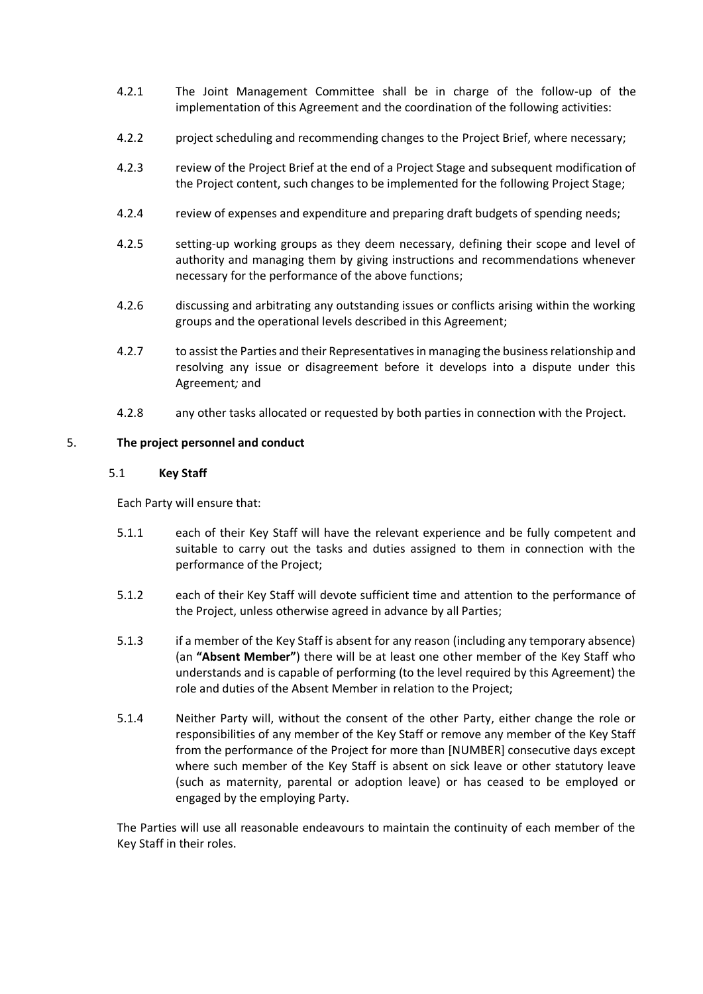- 4.2.1 The Joint Management Committee shall be in charge of the follow-up of the implementation of this Agreement and the coordination of the following activities:
- 4.2.2 project scheduling and recommending changes to the Project Brief, where necessary;
- 4.2.3 review of the Project Brief at the end of a Project Stage and subsequent modification of the Project content, such changes to be implemented for the following Project Stage;
- 4.2.4 review of expenses and expenditure and preparing draft budgets of spending needs;
- 4.2.5 setting-up working groups as they deem necessary, defining their scope and level of authority and managing them by giving instructions and recommendations whenever necessary for the performance of the above functions;
- 4.2.6 discussing and arbitrating any outstanding issues or conflicts arising within the working groups and the operational levels described in this Agreement;
- 4.2.7 to assist the Parties and their Representatives in managing the business relationship and resolving any issue or disagreement before it develops into a dispute under this Agreement*;* and
- 4.2.8 any other tasks allocated or requested by both parties in connection with the Project.

### <span id="page-4-0"></span>5. **The project personnel and conduct**

### 5.1 **Key Staff**

Each Party will ensure that:

- 5.1.1 each of their Key Staff will have the relevant experience and be fully competent and suitable to carry out the tasks and duties assigned to them in connection with the performance of the Project;
- 5.1.2 each of their Key Staff will devote sufficient time and attention to the performance of the Project, unless otherwise agreed in advance by all Parties;
- 5.1.3 if a member of the Key Staff is absent for any reason (including any temporary absence) (an **"Absent Member"**) there will be at least one other member of the Key Staff who understands and is capable of performing (to the level required by this Agreement) the role and duties of the Absent Member in relation to the Project;
- 5.1.4 Neither Party will, without the consent of the other Party, either change the role or responsibilities of any member of the Key Staff or remove any member of the Key Staff from the performance of the Project for more than [NUMBER] consecutive days except where such member of the Key Staff is absent on sick leave or other statutory leave (such as maternity, parental or adoption leave) or has ceased to be employed or engaged by the employing Party.

The Parties will use all reasonable endeavours to maintain the continuity of each member of the Key Staff in their roles.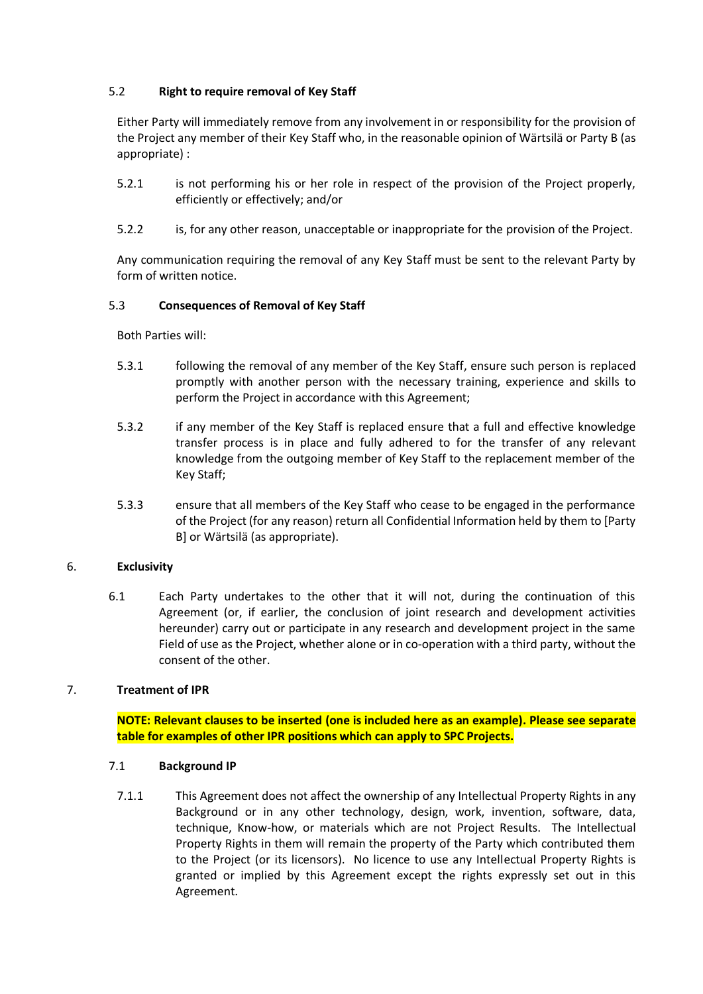## 5.2 **Right to require removal of Key Staff**

Either Party will immediately remove from any involvement in or responsibility for the provision of the Project any member of their Key Staff who, in the reasonable opinion of Wärtsilä or Party B (as appropriate) :

- 5.2.1 is not performing his or her role in respect of the provision of the Project properly, efficiently or effectively; and/or
- 5.2.2 is, for any other reason, unacceptable or inappropriate for the provision of the Project.

Any communication requiring the removal of any Key Staff must be sent to the relevant Party by form of written notice.

#### 5.3 **Consequences of Removal of Key Staff**

Both Parties will:

- 5.3.1 following the removal of any member of the Key Staff, ensure such person is replaced promptly with another person with the necessary training, experience and skills to perform the Project in accordance with this Agreement;
- 5.3.2 if any member of the Key Staff is replaced ensure that a full and effective knowledge transfer process is in place and fully adhered to for the transfer of any relevant knowledge from the outgoing member of Key Staff to the replacement member of the Key Staff;
- 5.3.3 ensure that all members of the Key Staff who cease to be engaged in the performance of the Project (for any reason) return all Confidential Information held by them to [Party B] or Wärtsilä (as appropriate).

#### <span id="page-5-0"></span>6. **Exclusivity**

6.1 Each Party undertakes to the other that it will not, during the continuation of this Agreement (or, if earlier, the conclusion of joint research and development activities hereunder) carry out or participate in any research and development project in the same Field of use as the Project, whether alone or in co-operation with a third party, without the consent of the other.

#### <span id="page-5-2"></span><span id="page-5-1"></span>7. **Treatment of IPR**

**NOTE: Relevant clauses to be inserted (one is included here as an example). Please see separate table for examples of other IPR positions which can apply to SPC Projects.**

#### 7.1 **Background IP**

7.1.1 This Agreement does not affect the ownership of any Intellectual Property Rights in any Background or in any other technology, design, work, invention, software, data, technique, Know-how, or materials which are not Project Results. The Intellectual Property Rights in them will remain the property of the Party which contributed them to the Project (or its licensors). No licence to use any Intellectual Property Rights is granted or implied by this Agreement except the rights expressly set out in this Agreement.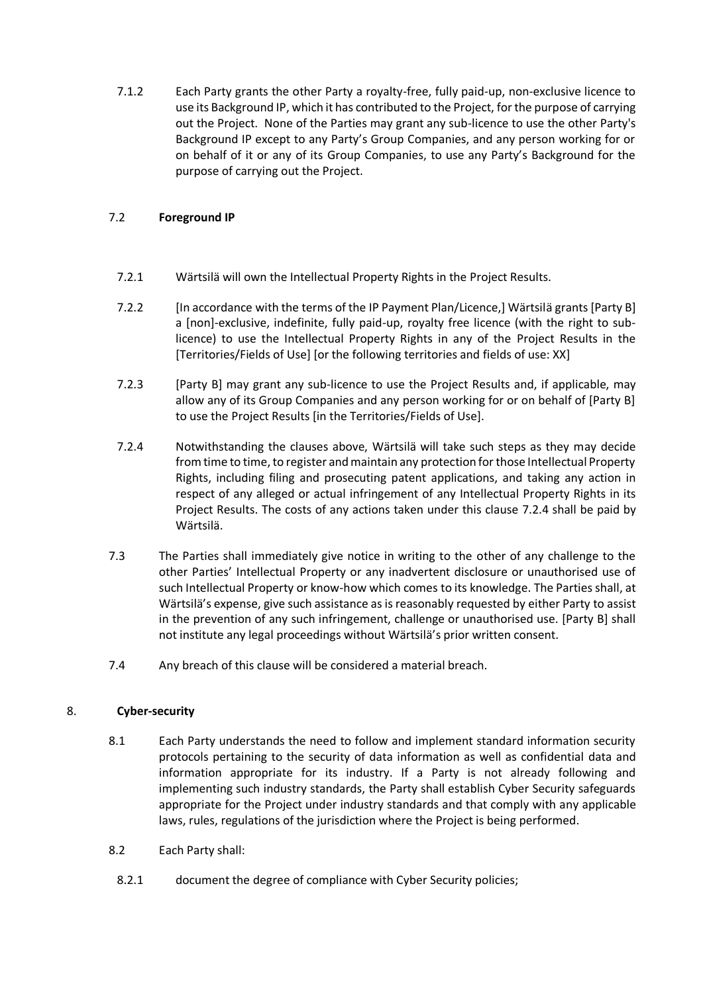7.1.2 Each Party grants the other Party a royalty-free, fully paid-up, non-exclusive licence to use its Background IP, which it has contributed to the Project, for the purpose of carrying out the Project. None of the Parties may grant any sub-licence to use the other Party's Background IP except to any Party's Group Companies, and any person working for or on behalf of it or any of its Group Companies, to use any Party's Background for the purpose of carrying out the Project.

## 7.2 **Foreground IP**

- 7.2.1 Wärtsilä will own the Intellectual Property Rights in the Project Results.
- 7.2.2 [In accordance with the terms of the IP Payment Plan/Licence,] Wärtsilä grants [Party B] a [non]-exclusive, indefinite, fully paid-up, royalty free licence (with the right to sublicence) to use the Intellectual Property Rights in any of the Project Results in the [Territories/Fields of Use] [or the following territories and fields of use: XX]
- 7.2.3 [Party B] may grant any sub-licence to use the Project Results and, if applicable, may allow any of its Group Companies and any person working for or on behalf of [Party B] to use the Project Results [in the Territories/Fields of Use].
- <span id="page-6-1"></span>7.2.4 Notwithstanding the clauses above, Wärtsilä will take such steps as they may decide from time to time, to register and maintain any protection for those Intellectual Property Rights, including filing and prosecuting patent applications, and taking any action in respect of any alleged or actual infringement of any Intellectual Property Rights in its Project Results. The costs of any actions taken under this clause [7.2.4](#page-6-1) shall be paid by Wärtsilä.
- 7.3 The Parties shall immediately give notice in writing to the other of any challenge to the other Parties' Intellectual Property or any inadvertent disclosure or unauthorised use of such Intellectual Property or know-how which comes to its knowledge. The Parties shall, at Wärtsilä's expense, give such assistance as is reasonably requested by either Party to assist in the prevention of any such infringement, challenge or unauthorised use. [Party B] shall not institute any legal proceedings without Wärtsilä's prior written consent.
- 7.4 Any breach of this clause will be considered a material breach.

#### <span id="page-6-2"></span><span id="page-6-0"></span>8. **Cyber-security**

- 8.1 Each Party understands the need to follow and implement standard information security protocols pertaining to the security of data information as well as confidential data and information appropriate for its industry. If a Party is not already following and implementing such industry standards, the Party shall establish Cyber Security safeguards appropriate for the Project under industry standards and that comply with any applicable laws, rules, regulations of the jurisdiction where the Project is being performed.
- <span id="page-6-3"></span>8.2 Each Party shall:
- 8.2.1 document the degree of compliance with Cyber Security policies;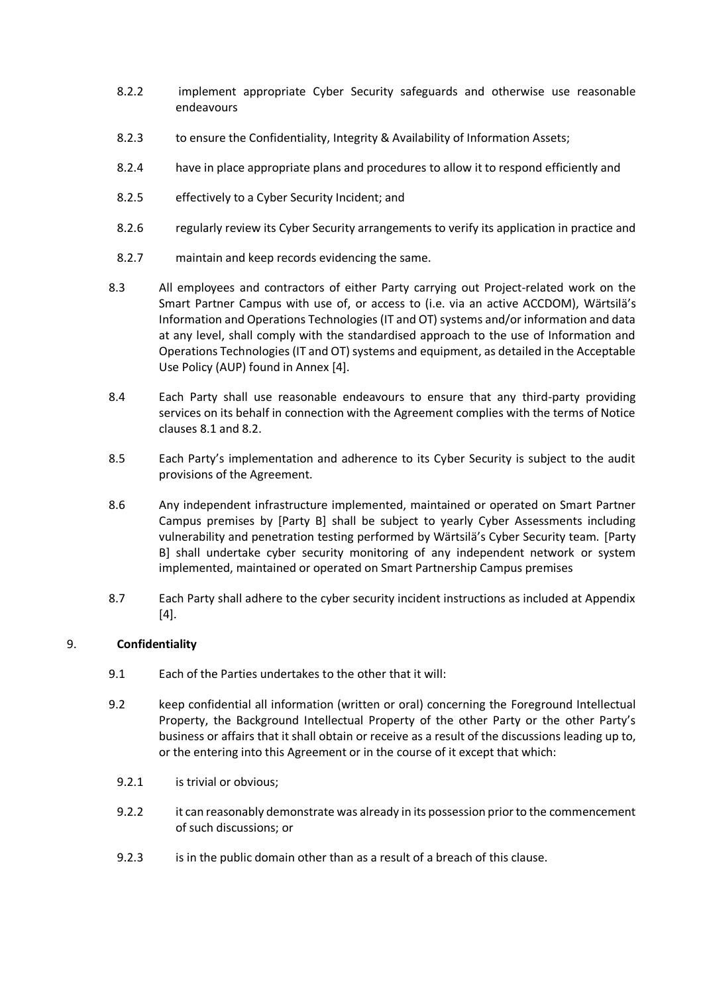- 8.2.2 implement appropriate Cyber Security safeguards and otherwise use reasonable endeavours
- 8.2.3 to ensure the Confidentiality, Integrity & Availability of Information Assets;
- 8.2.4 have in place appropriate plans and procedures to allow it to respond efficiently and
- 8.2.5 effectively to a Cyber Security Incident; and
- 8.2.6 regularly review its Cyber Security arrangements to verify its application in practice and
- 8.2.7 maintain and keep records evidencing the same.
- 8.3 All employees and contractors of either Party carrying out Project-related work on the Smart Partner Campus with use of, or access to (i.e. via an active ACCDOM), Wärtsilä's Information and Operations Technologies (IT and OT) systems and/or information and data at any level, shall comply with the standardised approach to the use of Information and Operations Technologies (IT and OT) systems and equipment, as detailed in the Acceptable Use Policy (AUP) found in Annex [4].
- 8.4 Each Party shall use reasonable endeavours to ensure that any third-party providing services on its behalf in connection with the Agreement complies with the terms of Notice clauses [8.1](#page-6-2) and [8.2.](#page-6-3)
- 8.5 Each Party's implementation and adherence to its Cyber Security is subject to the audit provisions of the Agreement.
- 8.6 Any independent infrastructure implemented, maintained or operated on Smart Partner Campus premises by [Party B] shall be subject to yearly Cyber Assessments including vulnerability and penetration testing performed by Wärtsilä's Cyber Security team. [Party B] shall undertake cyber security monitoring of any independent network or system implemented, maintained or operated on Smart Partnership Campus premises
- 8.7 Each Party shall adhere to the cyber security incident instructions as included at Appendix [4].

#### <span id="page-7-0"></span>9. **Confidentiality**

- 9.1 Each of the Parties undertakes to the other that it will:
- 9.2 keep confidential all information (written or oral) concerning the Foreground Intellectual Property, the Background Intellectual Property of the other Party or the other Party's business or affairs that it shall obtain or receive as a result of the discussions leading up to, or the entering into this Agreement or in the course of it except that which:
	- 9.2.1 is trivial or obvious;
	- 9.2.2 it can reasonably demonstrate was already in its possession prior to the commencement of such discussions; or
	- 9.2.3 is in the public domain other than as a result of a breach of this clause.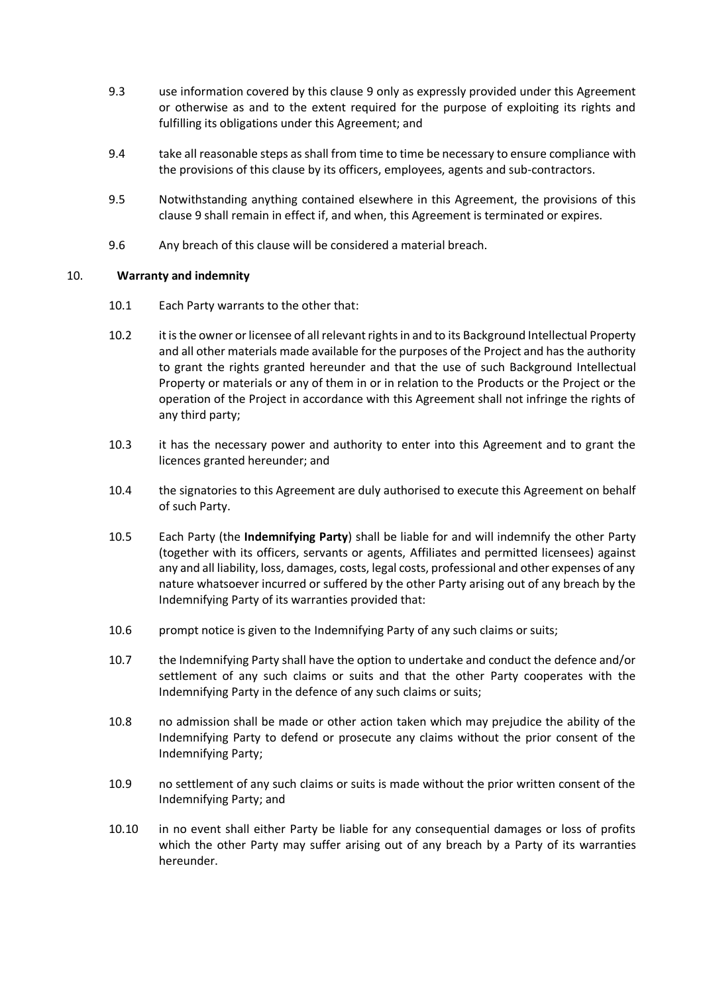- 9.3 use information covered by this clause [9](#page-7-0) only as expressly provided under this Agreement or otherwise as and to the extent required for the purpose of exploiting its rights and fulfilling its obligations under this Agreement; and
- 9.4 take all reasonable steps as shall from time to time be necessary to ensure compliance with the provisions of this clause by its officers, employees, agents and sub-contractors.
- 9.5 Notwithstanding anything contained elsewhere in this Agreement, the provisions of this clause [9](#page-7-0) shall remain in effect if, and when, this Agreement is terminated or expires.
- 9.6 Any breach of this clause will be considered a material breach.

### <span id="page-8-0"></span>10. **Warranty and indemnity**

- 10.1 Each Party warrants to the other that:
- 10.2 it is the owner or licensee of all relevant rights in and to its Background Intellectual Property and all other materials made available for the purposes of the Project and has the authority to grant the rights granted hereunder and that the use of such Background Intellectual Property or materials or any of them in or in relation to the Products or the Project or the operation of the Project in accordance with this Agreement shall not infringe the rights of any third party;
- 10.3 it has the necessary power and authority to enter into this Agreement and to grant the licences granted hereunder; and
- 10.4 the signatories to this Agreement are duly authorised to execute this Agreement on behalf of such Party.
- <span id="page-8-2"></span>10.5 Each Party (the **Indemnifying Party**) shall be liable for and will indemnify the other Party (together with its officers, servants or agents, Affiliates and permitted licensees) against any and all liability, loss, damages, costs, legal costs, professional and other expenses of any nature whatsoever incurred or suffered by the other Party arising out of any breach by the Indemnifying Party of its warranties provided that:
- 10.6 prompt notice is given to the Indemnifying Party of any such claims or suits;
- 10.7 the Indemnifying Party shall have the option to undertake and conduct the defence and/or settlement of any such claims or suits and that the other Party cooperates with the Indemnifying Party in the defence of any such claims or suits;
- 10.8 no admission shall be made or other action taken which may prejudice the ability of the Indemnifying Party to defend or prosecute any claims without the prior consent of the Indemnifying Party;
- 10.9 no settlement of any such claims or suits is made without the prior written consent of the Indemnifying Party; and
- <span id="page-8-1"></span>10.10 in no event shall either Party be liable for any consequential damages or loss of profits which the other Party may suffer arising out of any breach by a Party of its warranties hereunder.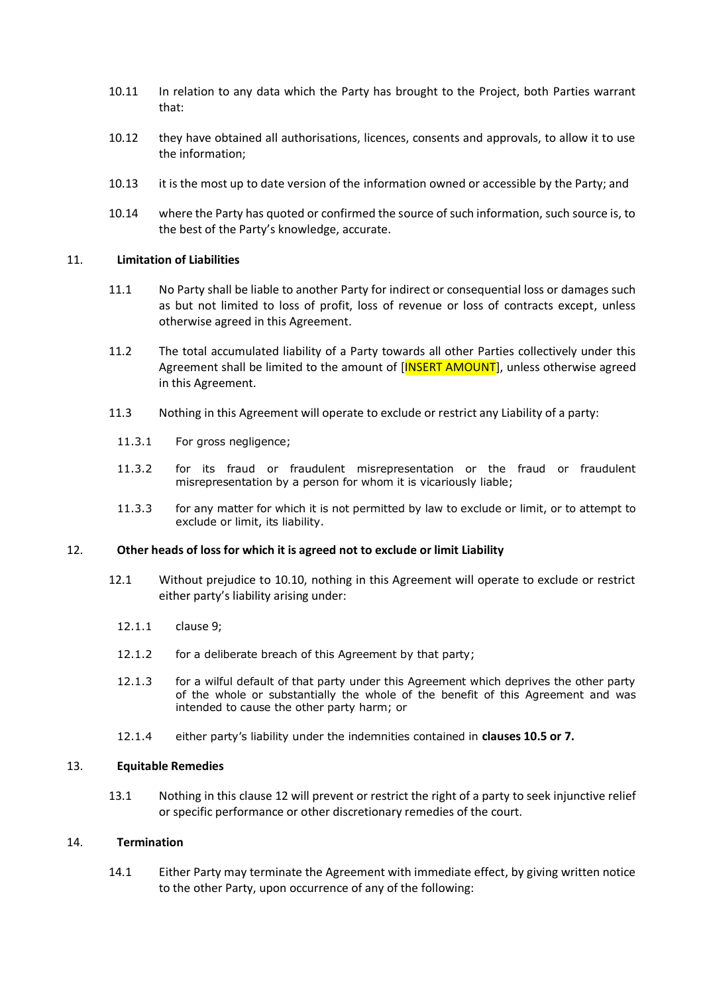- 10.11 In relation to any data which the Party has brought to the Project, both Parties warrant that:
- 10.12 they have obtained all authorisations, licences, consents and approvals, to allow it to use the information;
- 10.13 it is the most up to date version of the information owned or accessible by the Party; and
- 10.14 where the Party has quoted or confirmed the source of such information, such source is, to the best of the Party's knowledge, accurate.

#### <span id="page-9-0"></span>11. **Limitation of Liabilities**

- 11.1 No Party shall be liable to another Party for indirect or consequential loss or damages such as but not limited to loss of profit, loss of revenue or loss of contracts except, unless otherwise agreed in this Agreement.
- 11.2 The total accumulated liability of a Party towards all other Parties collectively under this Agreement shall be limited to the amount of [INSERT AMOUNT], unless otherwise agreed in this Agreement.
- 11.3 Nothing in this Agreement will operate to exclude or restrict any Liability of a party:
	- 11.3.1 For gross negligence:
	- 11.3.2 for its fraud or fraudulent misrepresentation or the fraud or fraudulent misrepresentation by a person for whom it is vicariously liable;
	- 11.3.3 for any matter for which it is not permitted by law to exclude or limit, or to attempt to exclude or limit, its liability.

#### <span id="page-9-1"></span>12. **Other heads of loss for which it is agreed not to exclude or limit Liability**

- 12.1 Without prejudice to [10.10,](#page-8-1) nothing in this Agreement will operate to exclude or restrict either party's liability arising under:
	- 12.1.1 clause [9;](#page-7-0)
	- 12.1.2 for a deliberate breach of this Agreement by that party;
	- 12.1.3 for a wilful default of that party under this Agreement which deprives the other party of the whole or substantially the whole of the benefit of this Agreement and was intended to cause the other party harm; or
	- 12.1.4 either party's liability under the indemnities contained in **clauses [10.5](#page-8-2) or [7.](#page-5-1)**

#### <span id="page-9-2"></span>13. **Equitable Remedies**

13.1 Nothing in this clause [12](#page-9-1) will prevent or restrict the right of a party to seek injunctive relief or specific performance or other discretionary remedies of the court.

#### <span id="page-9-3"></span>14. **Termination**

14.1 Either Party may terminate the Agreement with immediate effect, by giving written notice to the other Party, upon occurrence of any of the following: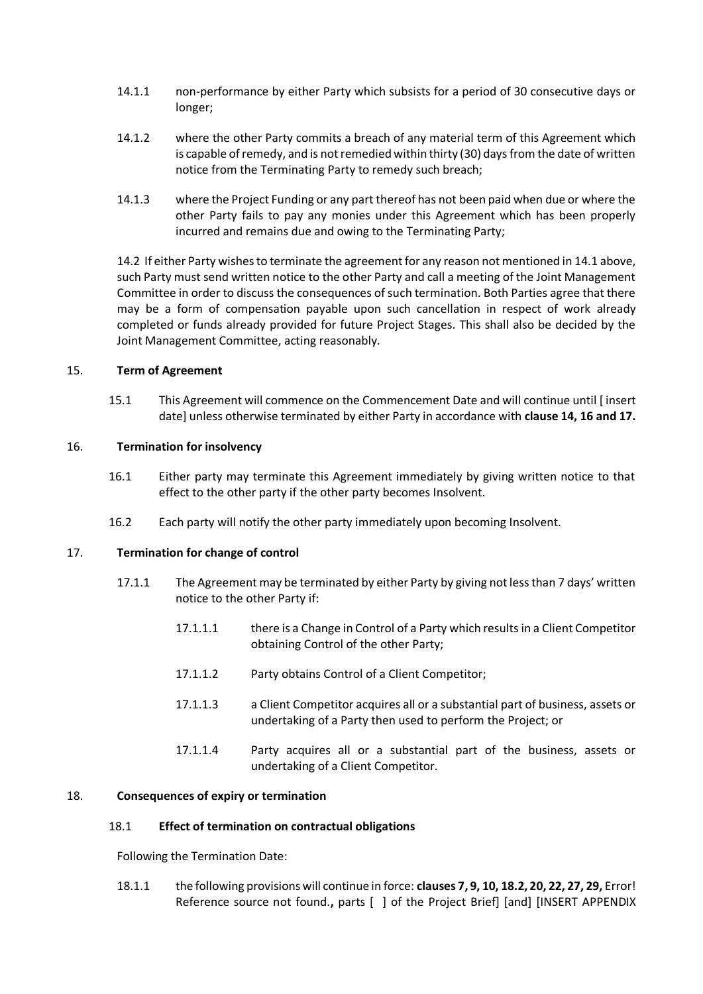- 14.1.1 non-performance by either Party which subsists for a period of 30 consecutive days or longer;
- 14.1.2 where the other Party commits a breach of any material term of this Agreement which is capable of remedy, and is not remedied within thirty (30) days from the date of written notice from the Terminating Party to remedy such breach;
- 14.1.3 where the Project Funding or any part thereof has not been paid when due or where the other Party fails to pay any monies under this Agreement which has been properly incurred and remains due and owing to the Terminating Party;

14.2 If either Party wishes to terminate the agreement for any reason not mentioned in 14.1 above, such Party must send written notice to the other Party and call a meeting of the Joint Management Committee in order to discuss the consequences of such termination. Both Parties agree that there may be a form of compensation payable upon such cancellation in respect of work already completed or funds already provided for future Project Stages. This shall also be decided by the Joint Management Committee, acting reasonably.

### <span id="page-10-0"></span>15. **Term of Agreement**

15.1 This Agreement will commence on the Commencement Date and will continue until [ insert date] unless otherwise terminated by either Party in accordance with **clause [14,](#page-9-3) [16](#page-10-1) an[d 17.](#page-10-2)** 

### <span id="page-10-1"></span>16. **Termination for insolvency**

- 16.1 Either party may terminate this Agreement immediately by giving written notice to that effect to the other party if the other party becomes Insolvent.
- 16.2 Each party will notify the other party immediately upon becoming Insolvent.

#### <span id="page-10-2"></span>17. **Termination for change of control**

- 17.1.1 The Agreement may be terminated by either Party by giving not less than 7 days' written notice to the other Party if:
	- 17.1.1.1 there is a Change in Control of a Party which results in a Client Competitor obtaining Control of the other Party;
	- 17.1.1.2 Party obtains Control of a Client Competitor;
	- 17.1.1.3 a Client Competitor acquires all or a substantial part of business, assets or undertaking of a Party then used to perform the Project; or
	- 17.1.1.4 Party acquires all or a substantial part of the business, assets or undertaking of a Client Competitor.

#### <span id="page-10-3"></span>18. **Consequences of expiry or termination**

#### 18.1 **Effect of termination on contractual obligations**

Following the Termination Date:

18.1.1 the following provisions will continue in force: **clauses [7,](#page-5-1) [9,](#page-7-0) [10,](#page-8-0) [18.2,](#page-11-1) [20,](#page-12-0) [22,](#page-12-2) [27,](#page-13-4) [29,](#page-14-0)** Error! Reference source not found.**,** parts [ ] of the Project Brief] [and] [INSERT APPENDIX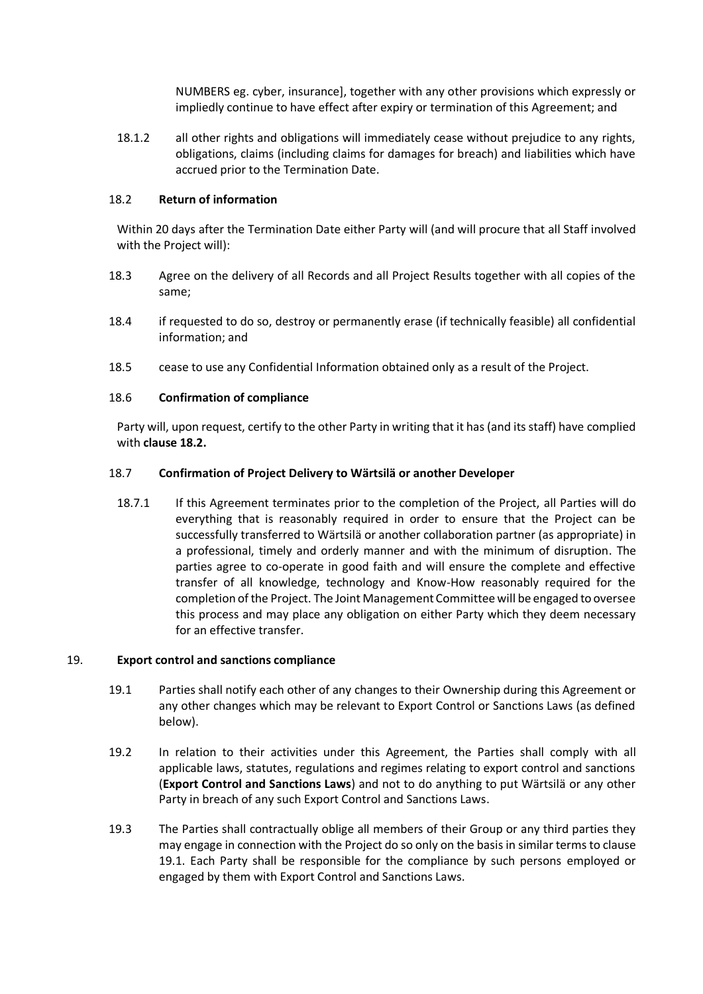NUMBERS eg. cyber, insurance], together with any other provisions which expressly or impliedly continue to have effect after expiry or termination of this Agreement; and

18.1.2 all other rights and obligations will immediately cease without prejudice to any rights, obligations, claims (including claims for damages for breach) and liabilities which have accrued prior to the Termination Date.

#### <span id="page-11-1"></span>18.2 **Return of information**

Within 20 days after the Termination Date either Party will (and will procure that all Staff involved with the Project will):

- 18.3 Agree on the delivery of all Records and all Project Results together with all copies of the same;
- 18.4 if requested to do so, destroy or permanently erase (if technically feasible) all confidential information; and
- 18.5 cease to use any Confidential Information obtained only as a result of the Project.

### 18.6 **Confirmation of compliance**

Party will, upon request, certify to the other Party in writing that it has (and its staff) have complied with **clause [18.2.](#page-11-1)** 

### 18.7 **Confirmation of Project Delivery to Wärtsilä or another Developer**

18.7.1 If this Agreement terminates prior to the completion of the Project, all Parties will do everything that is reasonably required in order to ensure that the Project can be successfully transferred to Wärtsilä or another collaboration partner (as appropriate) in a professional, timely and orderly manner and with the minimum of disruption. The parties agree to co-operate in good faith and will ensure the complete and effective transfer of all knowledge, technology and Know-How reasonably required for the completion of the Project. The Joint Management Committee will be engaged to oversee this process and may place any obligation on either Party which they deem necessary for an effective transfer.

#### <span id="page-11-2"></span><span id="page-11-0"></span>19. **Export control and sanctions compliance**

- 19.1 Parties shall notify each other of any changes to their Ownership during this Agreement or any other changes which may be relevant to Export Control or Sanctions Laws (as defined below).
- 19.2 In relation to their activities under this Agreement, the Parties shall comply with all applicable laws, statutes, regulations and regimes relating to export control and sanctions (**Export Control and Sanctions Laws**) and not to do anything to put Wärtsilä or any other Party in breach of any such Export Control and Sanctions Laws.
- 19.3 The Parties shall contractually oblige all members of their Group or any third parties they may engage in connection with the Project do so only on the basis in similar terms to clause [19.1.](#page-11-2) Each Party shall be responsible for the compliance by such persons employed or engaged by them with Export Control and Sanctions Laws.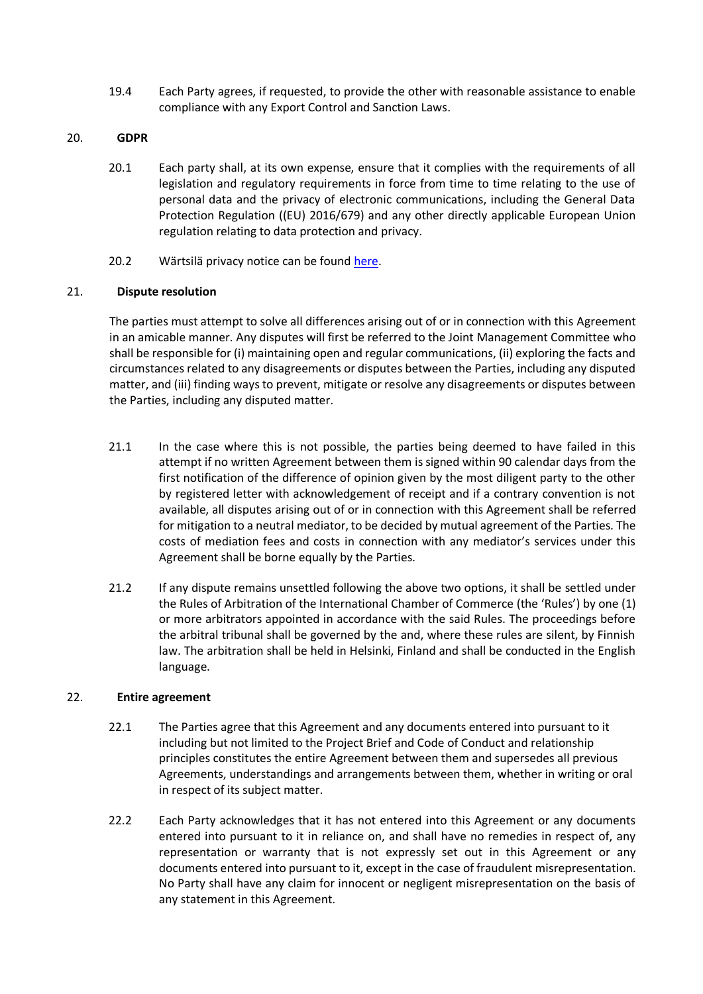19.4 Each Party agrees, if requested, to provide the other with reasonable assistance to enable compliance with any Export Control and Sanction Laws.

#### <span id="page-12-0"></span>20. **GDPR**

- 20.1 Each party shall, at its own expense, ensure that it complies with the requirements of all legislation and regulatory requirements in force from time to time relating to the use of personal data and the privacy of electronic communications, including the General Data Protection Regulation ((EU) 2016/679) and any other directly applicable European Union regulation relating to data protection and privacy.
- 20.2 Wärtsilä privacy notice can be found [here.](https://cdn.wartsila.com/docs/default-source/default-document-library/wartsilas-suppliers-business-partners-and-interest-groups-privacy-notice.pdf?sfvrsn=f3c45244_8)

### <span id="page-12-1"></span>21. **Dispute resolution**

The parties must attempt to solve all differences arising out of or in connection with this Agreement in an amicable manner. Any disputes will first be referred to the Joint Management Committee who shall be responsible for (i) maintaining open and regular communications, (ii) exploring the facts and circumstances related to any disagreements or disputes between the Parties, including any disputed matter, and (iii) finding ways to prevent, mitigate or resolve any disagreements or disputes between the Parties, including any disputed matter.

- 21.1 In the case where this is not possible, the parties being deemed to have failed in this attempt if no written Agreement between them is signed within 90 calendar days from the first notification of the difference of opinion given by the most diligent party to the other by registered letter with acknowledgement of receipt and if a contrary convention is not available, all disputes arising out of or in connection with this Agreement shall be referred for mitigation to a neutral mediator, to be decided by mutual agreement of the Parties. The costs of mediation fees and costs in connection with any mediator's services under this Agreement shall be borne equally by the Parties.
- 21.2 If any dispute remains unsettled following the above two options, it shall be settled under the Rules of Arbitration of the International Chamber of Commerce (the 'Rules') by one (1) or more arbitrators appointed in accordance with the said Rules. The proceedings before the arbitral tribunal shall be governed by the and, where these rules are silent, by Finnish law. The arbitration shall be held in Helsinki, Finland and shall be conducted in the English language.

#### <span id="page-12-2"></span>22. **Entire agreement**

- 22.1 The Parties agree that this Agreement and any documents entered into pursuant to it including but not limited to the Project Brief and Code of Conduct and relationship principles constitutes the entire Agreement between them and supersedes all previous Agreements, understandings and arrangements between them, whether in writing or oral in respect of its subject matter.
- 22.2 Each Party acknowledges that it has not entered into this Agreement or any documents entered into pursuant to it in reliance on, and shall have no remedies in respect of, any representation or warranty that is not expressly set out in this Agreement or any documents entered into pursuant to it, except in the case of fraudulent misrepresentation. No Party shall have any claim for innocent or negligent misrepresentation on the basis of any statement in this Agreement.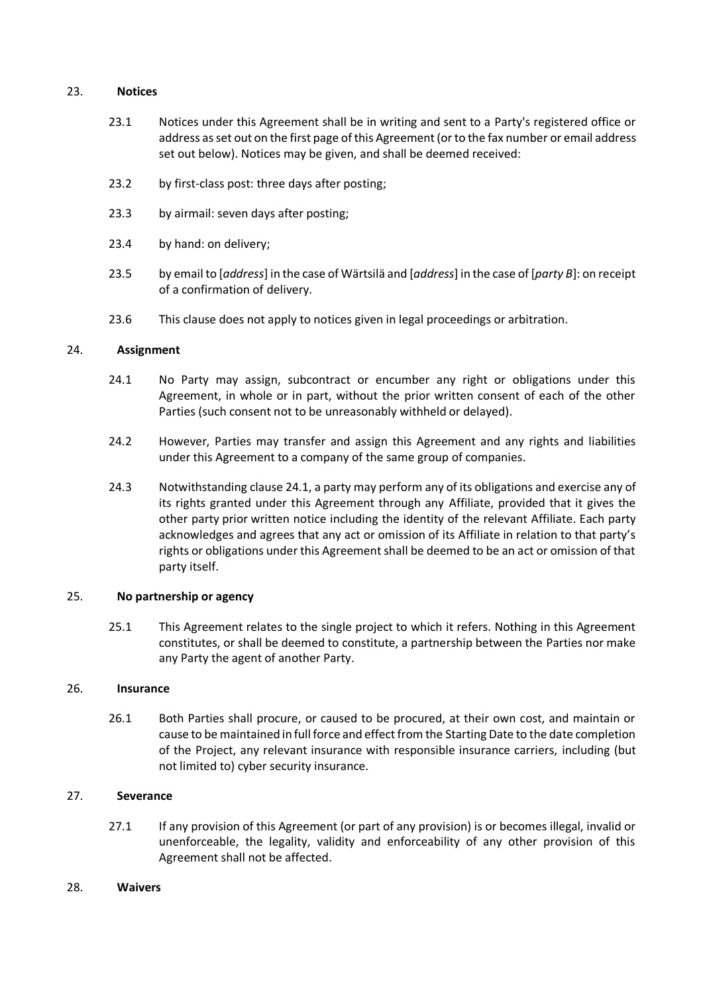#### <span id="page-13-0"></span>23. **Notices**

- 23.1 Notices under this Agreement shall be in writing and sent to a Party's registered office or address as set out on the first page of this Agreement (or to the fax number or email address set out below). Notices may be given, and shall be deemed received:
- 23.2 by first-class post: three days after posting;
- 23.3 by airmail: seven days after posting;
- 23.4 by hand: on delivery;
- 23.5 by email to [*address*] in the case of Wärtsilä and [*address*] in the case of [*party B*]: on receipt of a confirmation of delivery.
- 23.6 This clause does not apply to notices given in legal proceedings or arbitration.

#### <span id="page-13-1"></span>24. **Assignment**

- 24.1 No Party may assign, subcontract or encumber any right or obligations under this Agreement, in whole or in part, without the prior written consent of each of the other Parties (such consent not to be unreasonably withheld or delayed).
- <span id="page-13-6"></span>24.2 However, Parties may transfer and assign this Agreement and any rights and liabilities under this Agreement to a company of the same group of companies.
- 24.3 Notwithstanding clause [24.1,](#page-13-6) a party may perform any of its obligations and exercise any of its rights granted under this Agreement through any Affiliate, provided that it gives the other party prior written notice including the identity of the relevant Affiliate. Each party acknowledges and agrees that any act or omission of its Affiliate in relation to that party's rights or obligations under this Agreement shall be deemed to be an act or omission of that party itself.

#### <span id="page-13-2"></span>25. **No partnership or agency**

25.1 This Agreement relates to the single project to which it refers. Nothing in this Agreement constitutes, or shall be deemed to constitute, a partnership between the Parties nor make any Party the agent of another Party.

#### <span id="page-13-3"></span>26. **Insurance**

26.1 Both Parties shall procure, or caused to be procured, at their own cost, and maintain or cause to be maintained in full force and effect from the Starting Date to the date completion of the Project, any relevant insurance with responsible insurance carriers, including (but not limited to) cyber security insurance.

#### <span id="page-13-4"></span>27. **Severance**

- 27.1 If any provision of this Agreement (or part of any provision) is or becomes illegal, invalid or unenforceable, the legality, validity and enforceability of any other provision of this Agreement shall not be affected.
- <span id="page-13-5"></span>28. **Waivers**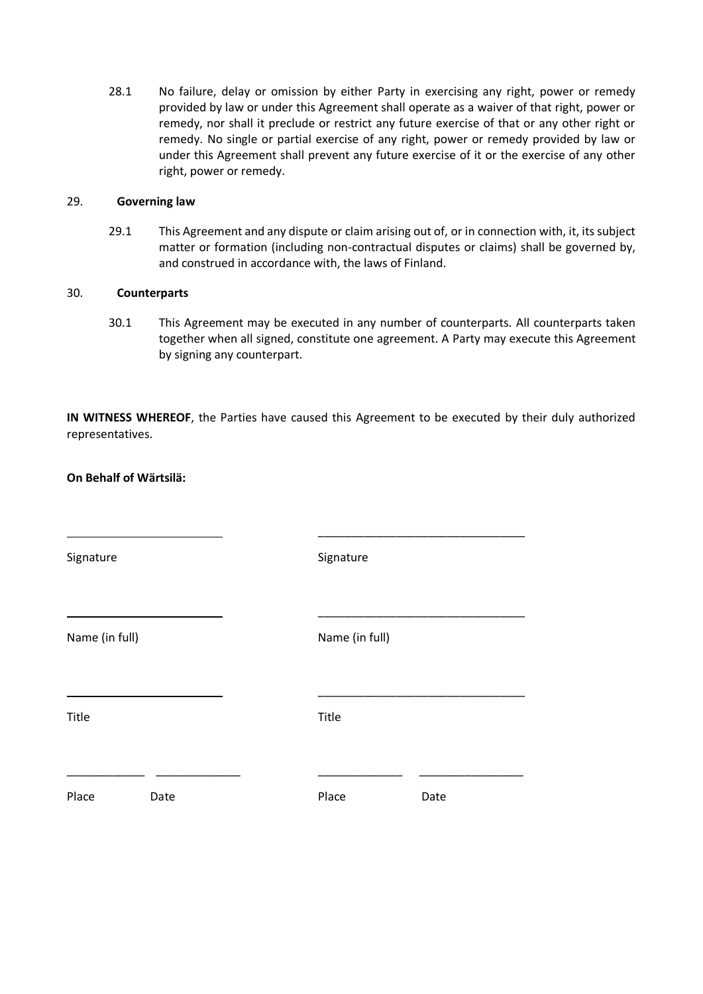28.1 No failure, delay or omission by either Party in exercising any right, power or remedy provided by law or under this Agreement shall operate as a waiver of that right, power or remedy, nor shall it preclude or restrict any future exercise of that or any other right or remedy. No single or partial exercise of any right, power or remedy provided by law or under this Agreement shall prevent any future exercise of it or the exercise of any other right, power or remedy.

#### <span id="page-14-0"></span>29. **Governing law**

29.1 This Agreement and any dispute or claim arising out of, or in connection with, it, its subject matter or formation (including non-contractual disputes or claims) shall be governed by, and construed in accordance with, the laws of Finland.

#### <span id="page-14-1"></span>30. **Counterparts**

**On Behalf of Wärtsilä:**

30.1 This Agreement may be executed in any number of counterparts. All counterparts taken together when all signed, constitute one agreement. A Party may execute this Agreement by signing any counterpart.

**IN WITNESS WHEREOF**, the Parties have caused this Agreement to be executed by their duly authorized representatives.

| Signature      |      | Signature      |      |
|----------------|------|----------------|------|
| Name (in full) |      | Name (in full) |      |
| Title          |      | Title          |      |
| Place          | Date | Place          | Date |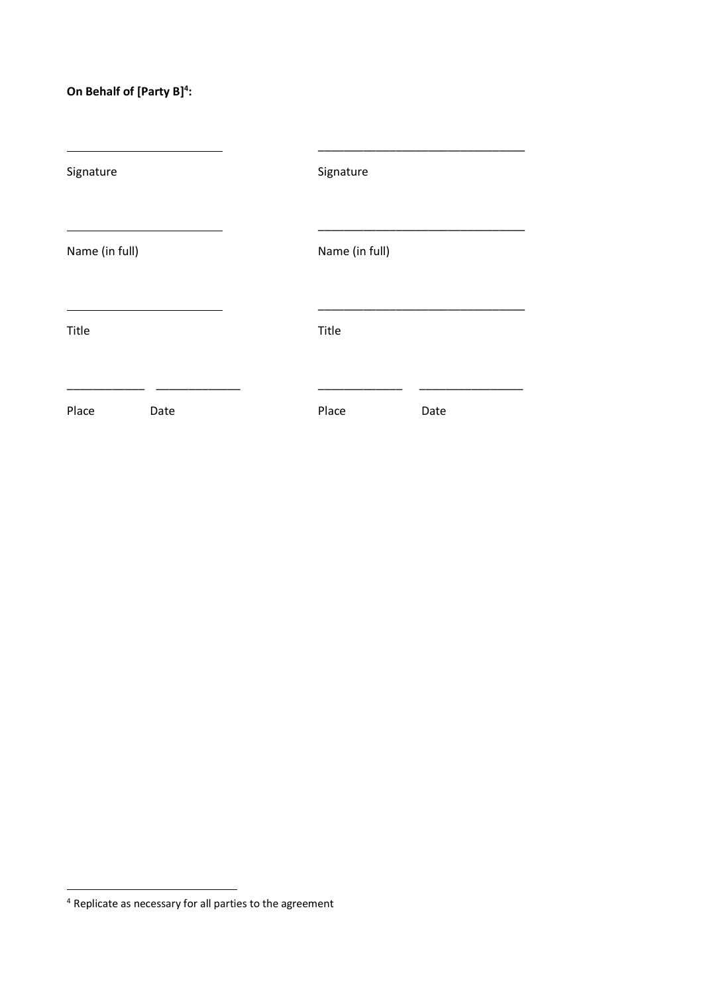## **On Behalf of [Party B]<sup>4</sup> :**

| Signature      |      | Signature      |      |  |  |  |  |
|----------------|------|----------------|------|--|--|--|--|
| Name (in full) |      | Name (in full) |      |  |  |  |  |
| Title          |      | Title          |      |  |  |  |  |
| Place          | Date | Place          | Date |  |  |  |  |

<sup>4</sup> Replicate as necessary for all parties to the agreement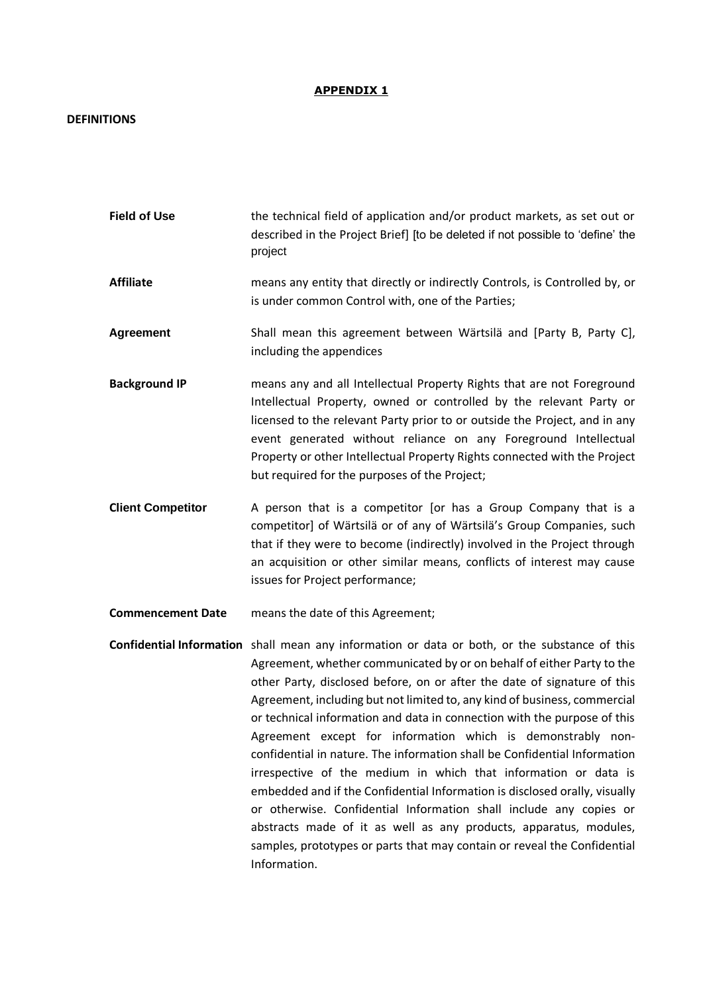#### **APPENDIX 1**

#### **DEFINITIONS**

- **Field of Use** the technical field of application and/or product markets, as set out or described in the Project Brief] [to be deleted if not possible to 'define' the project
- **Affiliate** means any entity that directly or indirectly Controls, is Controlled by, or is under common Control with, one of the Parties;
- **Agreement** Shall mean this agreement between Wärtsilä and [Party B, Party C], including the appendices
- **Background IP** means any and all Intellectual Property Rights that are not Foreground Intellectual Property, owned or controlled by the relevant Party or licensed to the relevant Party prior to or outside the Project, and in any event generated without reliance on any Foreground Intellectual Property or other Intellectual Property Rights connected with the Project but required for the purposes of the Project;
- **Client Competitor** A person that is a competitor [or has a Group Company that is a competitor] of Wärtsilä or of any of Wärtsilä's Group Companies, such that if they were to become (indirectly) involved in the Project through an acquisition or other similar means, conflicts of interest may cause issues for Project performance;
- **Commencement Date** means the date of this Agreement;
- **Confidential Information** shall mean any information or data or both, or the substance of this Agreement, whether communicated by or on behalf of either Party to the other Party, disclosed before, on or after the date of signature of this Agreement, including but not limited to, any kind of business, commercial or technical information and data in connection with the purpose of this Agreement except for information which is demonstrably nonconfidential in nature. The information shall be Confidential Information irrespective of the medium in which that information or data is embedded and if the Confidential Information is disclosed orally, visually or otherwise. Confidential Information shall include any copies or abstracts made of it as well as any products, apparatus, modules, samples, prototypes or parts that may contain or reveal the Confidential Information.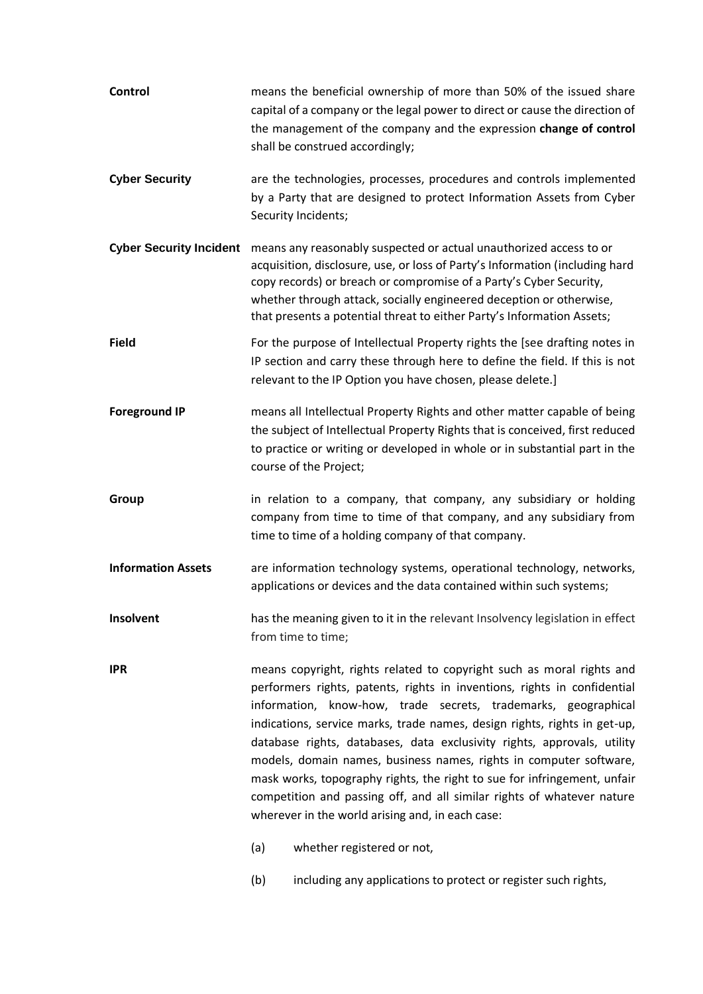| <b>Control</b>                 |                                                                                                                                                                                                                                                                                                                                                                                                                                                                                                                                                                                                                                                             | means the beneficial ownership of more than 50% of the issued share<br>capital of a company or the legal power to direct or cause the direction of<br>the management of the company and the expression change of control<br>shall be construed accordingly;                                                                                                               |  |  |  |  |  |
|--------------------------------|-------------------------------------------------------------------------------------------------------------------------------------------------------------------------------------------------------------------------------------------------------------------------------------------------------------------------------------------------------------------------------------------------------------------------------------------------------------------------------------------------------------------------------------------------------------------------------------------------------------------------------------------------------------|---------------------------------------------------------------------------------------------------------------------------------------------------------------------------------------------------------------------------------------------------------------------------------------------------------------------------------------------------------------------------|--|--|--|--|--|
| <b>Cyber Security</b>          | are the technologies, processes, procedures and controls implemented<br>by a Party that are designed to protect Information Assets from Cyber<br>Security Incidents;                                                                                                                                                                                                                                                                                                                                                                                                                                                                                        |                                                                                                                                                                                                                                                                                                                                                                           |  |  |  |  |  |
| <b>Cyber Security Incident</b> |                                                                                                                                                                                                                                                                                                                                                                                                                                                                                                                                                                                                                                                             | means any reasonably suspected or actual unauthorized access to or<br>acquisition, disclosure, use, or loss of Party's Information (including hard<br>copy records) or breach or compromise of a Party's Cyber Security,<br>whether through attack, socially engineered deception or otherwise,<br>that presents a potential threat to either Party's Information Assets; |  |  |  |  |  |
| <b>Field</b>                   |                                                                                                                                                                                                                                                                                                                                                                                                                                                                                                                                                                                                                                                             | For the purpose of Intellectual Property rights the [see drafting notes in<br>IP section and carry these through here to define the field. If this is not<br>relevant to the IP Option you have chosen, please delete.]                                                                                                                                                   |  |  |  |  |  |
| <b>Foreground IP</b>           |                                                                                                                                                                                                                                                                                                                                                                                                                                                                                                                                                                                                                                                             | means all Intellectual Property Rights and other matter capable of being<br>the subject of Intellectual Property Rights that is conceived, first reduced<br>to practice or writing or developed in whole or in substantial part in the<br>course of the Project;                                                                                                          |  |  |  |  |  |
| Group                          |                                                                                                                                                                                                                                                                                                                                                                                                                                                                                                                                                                                                                                                             | in relation to a company, that company, any subsidiary or holding<br>company from time to time of that company, and any subsidiary from<br>time to time of a holding company of that company.                                                                                                                                                                             |  |  |  |  |  |
| <b>Information Assets</b>      |                                                                                                                                                                                                                                                                                                                                                                                                                                                                                                                                                                                                                                                             | are information technology systems, operational technology, networks,<br>applications or devices and the data contained within such systems;                                                                                                                                                                                                                              |  |  |  |  |  |
| Insolvent                      | has the meaning given to it in the relevant Insolvency legislation in effect<br>from time to time;                                                                                                                                                                                                                                                                                                                                                                                                                                                                                                                                                          |                                                                                                                                                                                                                                                                                                                                                                           |  |  |  |  |  |
| <b>IPR</b>                     | means copyright, rights related to copyright such as moral rights and<br>performers rights, patents, rights in inventions, rights in confidential<br>information, know-how, trade secrets, trademarks, geographical<br>indications, service marks, trade names, design rights, rights in get-up,<br>database rights, databases, data exclusivity rights, approvals, utility<br>models, domain names, business names, rights in computer software,<br>mask works, topography rights, the right to sue for infringement, unfair<br>competition and passing off, and all similar rights of whatever nature<br>wherever in the world arising and, in each case: |                                                                                                                                                                                                                                                                                                                                                                           |  |  |  |  |  |
|                                | (a)                                                                                                                                                                                                                                                                                                                                                                                                                                                                                                                                                                                                                                                         | whether registered or not,                                                                                                                                                                                                                                                                                                                                                |  |  |  |  |  |
|                                | (b)                                                                                                                                                                                                                                                                                                                                                                                                                                                                                                                                                                                                                                                         | including any applications to protect or register such rights,                                                                                                                                                                                                                                                                                                            |  |  |  |  |  |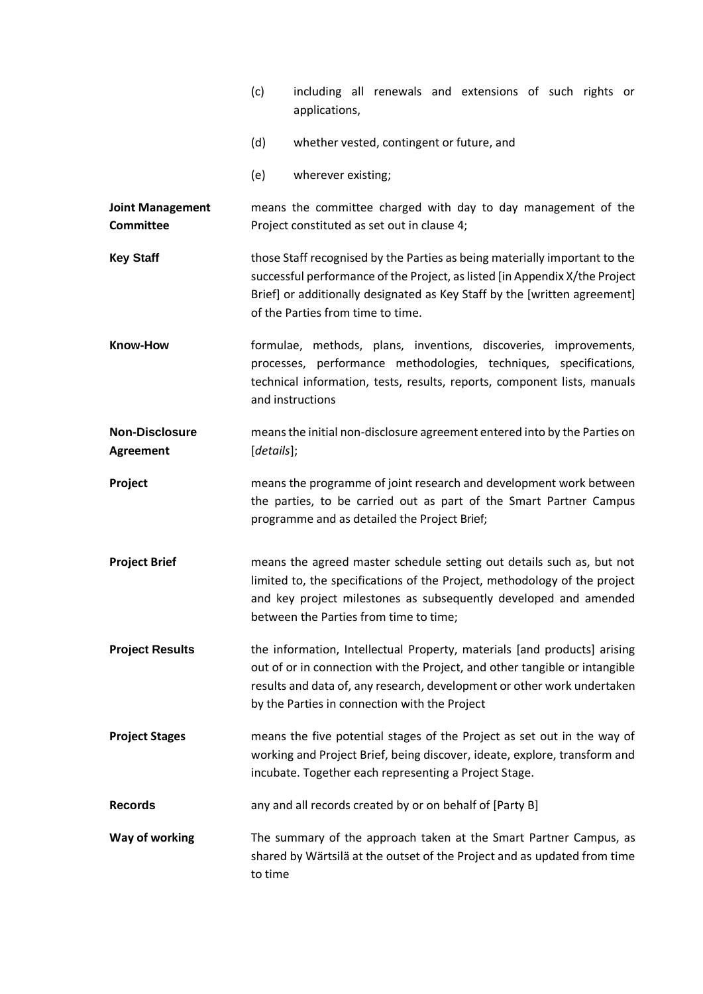|                                      | (c)                                                                                                                                                                                                                                                                                | applications,                                                                                                                                                                                                                                                               |  |  |  | including all renewals and extensions of such rights or  |  |  |  |  |
|--------------------------------------|------------------------------------------------------------------------------------------------------------------------------------------------------------------------------------------------------------------------------------------------------------------------------------|-----------------------------------------------------------------------------------------------------------------------------------------------------------------------------------------------------------------------------------------------------------------------------|--|--|--|----------------------------------------------------------|--|--|--|--|
|                                      | (d)                                                                                                                                                                                                                                                                                |                                                                                                                                                                                                                                                                             |  |  |  | whether vested, contingent or future, and                |  |  |  |  |
|                                      | (e)                                                                                                                                                                                                                                                                                | wherever existing;                                                                                                                                                                                                                                                          |  |  |  |                                                          |  |  |  |  |
| <b>Joint Management</b><br>Committee | means the committee charged with day to day management of the<br>Project constituted as set out in clause 4;                                                                                                                                                                       |                                                                                                                                                                                                                                                                             |  |  |  |                                                          |  |  |  |  |
| <b>Key Staff</b>                     |                                                                                                                                                                                                                                                                                    | those Staff recognised by the Parties as being materially important to the<br>successful performance of the Project, as listed [in Appendix X/the Project<br>Brief] or additionally designated as Key Staff by the [written agreement]<br>of the Parties from time to time. |  |  |  |                                                          |  |  |  |  |
| <b>Know-How</b>                      | formulae, methods, plans, inventions, discoveries, improvements,<br>processes, performance methodologies, techniques, specifications,<br>technical information, tests, results, reports, component lists, manuals<br>and instructions                                              |                                                                                                                                                                                                                                                                             |  |  |  |                                                          |  |  |  |  |
| <b>Non-Disclosure</b><br>Agreement   | means the initial non-disclosure agreement entered into by the Parties on<br>[details];                                                                                                                                                                                            |                                                                                                                                                                                                                                                                             |  |  |  |                                                          |  |  |  |  |
| Project                              | means the programme of joint research and development work between<br>the parties, to be carried out as part of the Smart Partner Campus<br>programme and as detailed the Project Brief;                                                                                           |                                                                                                                                                                                                                                                                             |  |  |  |                                                          |  |  |  |  |
| <b>Project Brief</b>                 | means the agreed master schedule setting out details such as, but not<br>limited to, the specifications of the Project, methodology of the project<br>and key project milestones as subsequently developed and amended<br>between the Parties from time to time;                   |                                                                                                                                                                                                                                                                             |  |  |  |                                                          |  |  |  |  |
| <b>Project Results</b>               | the information, Intellectual Property, materials [and products] arising<br>out of or in connection with the Project, and other tangible or intangible<br>results and data of, any research, development or other work undertaken<br>by the Parties in connection with the Project |                                                                                                                                                                                                                                                                             |  |  |  |                                                          |  |  |  |  |
| <b>Project Stages</b>                | means the five potential stages of the Project as set out in the way of<br>working and Project Brief, being discover, ideate, explore, transform and<br>incubate. Together each representing a Project Stage.                                                                      |                                                                                                                                                                                                                                                                             |  |  |  |                                                          |  |  |  |  |
| <b>Records</b>                       |                                                                                                                                                                                                                                                                                    |                                                                                                                                                                                                                                                                             |  |  |  | any and all records created by or on behalf of [Party B] |  |  |  |  |
| Way of working                       | The summary of the approach taken at the Smart Partner Campus, as<br>shared by Wärtsilä at the outset of the Project and as updated from time<br>to time                                                                                                                           |                                                                                                                                                                                                                                                                             |  |  |  |                                                          |  |  |  |  |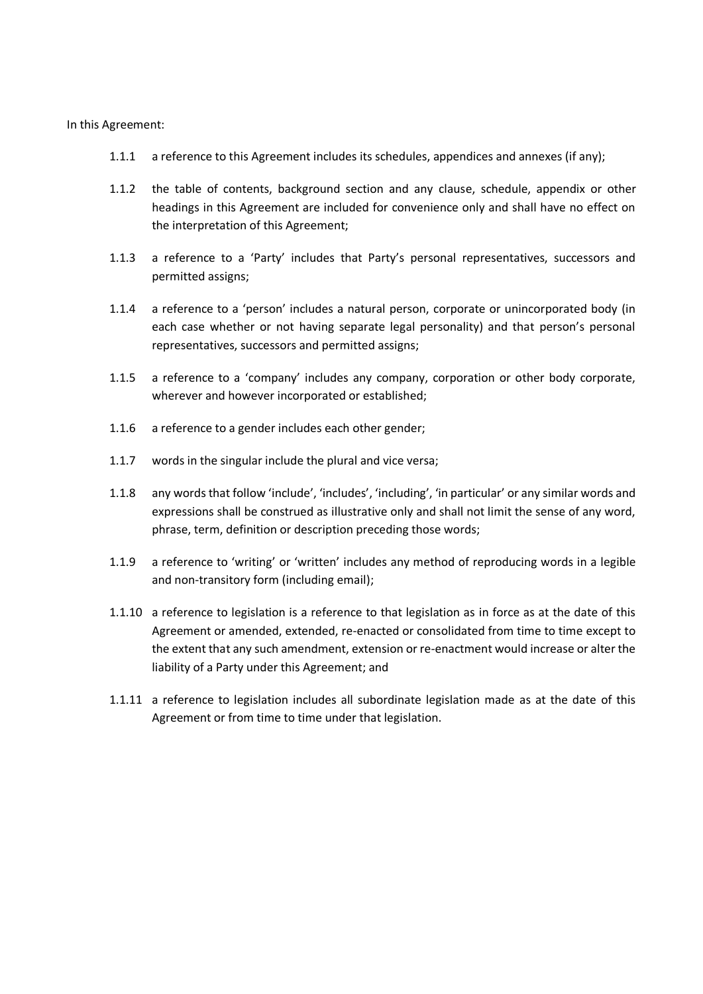In this Agreement:

- 1.1.1 a reference to this Agreement includes its schedules, appendices and annexes (if any);
- 1.1.2 the table of contents, background section and any clause, schedule, appendix or other headings in this Agreement are included for convenience only and shall have no effect on the interpretation of this Agreement;
- 1.1.3 a reference to a 'Party' includes that Party's personal representatives, successors and permitted assigns;
- 1.1.4 a reference to a 'person' includes a natural person, corporate or unincorporated body (in each case whether or not having separate legal personality) and that person's personal representatives, successors and permitted assigns;
- 1.1.5 a reference to a 'company' includes any company, corporation or other body corporate, wherever and however incorporated or established;
- 1.1.6 a reference to a gender includes each other gender;
- 1.1.7 words in the singular include the plural and vice versa;
- 1.1.8 any words that follow 'include', 'includes', 'including', 'in particular' or any similar words and expressions shall be construed as illustrative only and shall not limit the sense of any word, phrase, term, definition or description preceding those words;
- 1.1.9 a reference to 'writing' or 'written' includes any method of reproducing words in a legible and non-transitory form (including email);
- 1.1.10 a reference to legislation is a reference to that legislation as in force as at the date of this Agreement or amended, extended, re-enacted or consolidated from time to time except to the extent that any such amendment, extension or re-enactment would increase or alter the liability of a Party under this Agreement; and
- 1.1.11 a reference to legislation includes all subordinate legislation made as at the date of this Agreement or from time to time under that legislation.